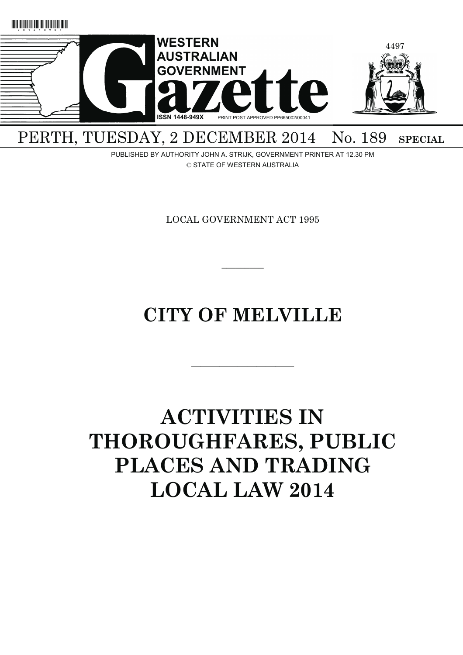

## PERTH, TUESDAY, 2 DECEMBER 2014 No. 189 SPECIAL

PUBLISHED BY AUTHORITY JOHN A. STRIJK, GOVERNMENT PRINTER AT 12.30 PM © STATE OF WESTERN AUSTRALIA

LOCAL GOVERNMENT ACT 1995

## **CITY OF MELVILLE**

———————————

 $\overline{\phantom{a}}$ 

# **ACTIVITIES IN THOROUGHFARES, PUBLIC PLACES AND TRADING LOCAL LAW 2014**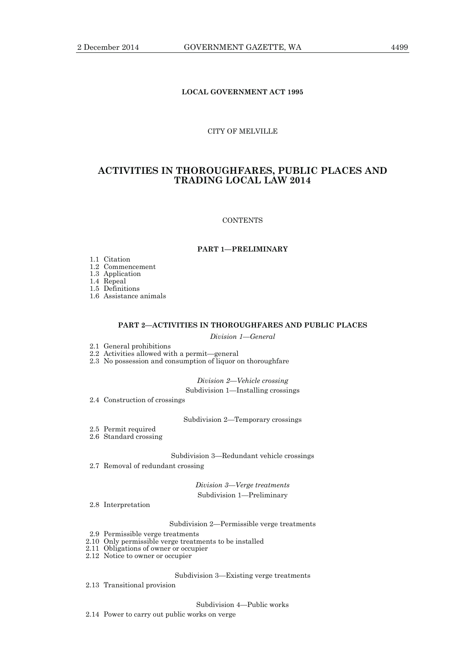## **LOCAL GOVERNMENT ACT 1995**

## CITY OF MELVILLE

## **ACTIVITIES IN THOROUGHFARES, PUBLIC PLACES AND TRADING LOCAL LAW 2014**

#### **CONTENTS**

## **PART 1—PRELIMINARY**

- 1.1 Citation
- 1.2 Commencement
- 1.3 Application

1.4 Repeal

1.5 Definitions

1.6 Assistance animals

## **PART 2—ACTIVITIES IN THOROUGHFARES AND PUBLIC PLACES**

*Division 1—General* 

- 2.1 General prohibitions
- 2.2 Activities allowed with a permit—general

2.3 No possession and consumption of liquor on thoroughfare

*Division 2—Vehicle crossing* 

Subdivision 1—Installing crossings

2.4 Construction of crossings

Subdivision 2—Temporary crossings

- 2.5 Permit required
- 2.6 Standard crossing

Subdivision 3—Redundant vehicle crossings

2.7 Removal of redundant crossing

*Division 3—Verge treatments*  Subdivision 1—Preliminary

2.8 Interpretation

Subdivision 2—Permissible verge treatments

- 2.9 Permissible verge treatments
- 2.10 Only permissible verge treatments to be installed
- 2.11 Obligations of owner or occupier
- 2.12 Notice to owner or occupier

Subdivision 3—Existing verge treatments

2.13 Transitional provision

Subdivision 4—Public works

2.14 Power to carry out public works on verge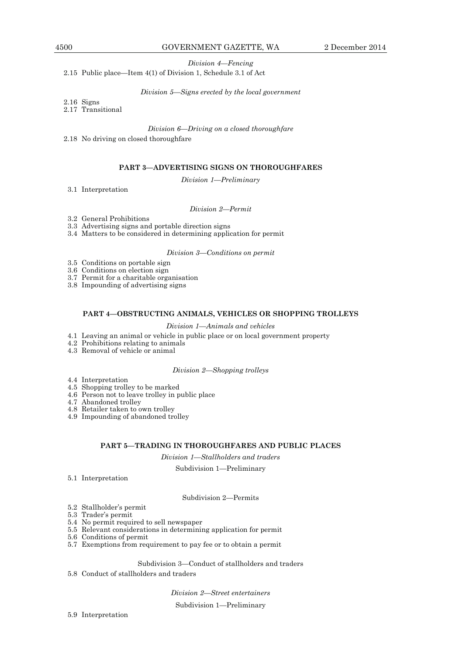*Division 4—Fencing* 

## 2.15 Public place—Item 4(1) of Division 1, Schedule 3.1 of Act

*Division 5—Signs erected by the local government* 

2.16 Signs

2.17 Transitional

## *Division 6—Driving on a closed thoroughfare*

2.18 No driving on closed thoroughfare

## **PART 3—ADVERTISING SIGNS ON THOROUGHFARES**

*Division 1—Preliminary* 

3.1 Interpretation

*Division 2—Permit* 

3.2 General Prohibitions

3.3 Advertising signs and portable direction signs

3.4 Matters to be considered in determining application for permit

## *Division 3—Conditions on permit*

3.5 Conditions on portable sign

3.6 Conditions on election sign

3.7 Permit for a charitable organisation

3.8 Impounding of advertising signs

## **PART 4—OBSTRUCTING ANIMALS, VEHICLES OR SHOPPING TROLLEYS**

## *Division 1—Animals and vehicles*

- 4.1 Leaving an animal or vehicle in public place or on local government property
- 4.2 Prohibitions relating to animals
- 4.3 Removal of vehicle or animal

## *Division 2—Shopping trolleys*

- 4.4 Interpretation
- 4.5 Shopping trolley to be marked
- 4.6 Person not to leave trolley in public place
- 4.7 Abandoned trolley
- 4.8 Retailer taken to own trolley
- 4.9 Impounding of abandoned trolley

## **PART 5—TRADING IN THOROUGHFARES AND PUBLIC PLACES**

*Division 1—Stallholders and traders* 

Subdivision 1—Preliminary

5.1 Interpretation

Subdivision 2—Permits

- 5.2 Stallholder's permit
- 5.3 Trader's permit
- 5.4 No permit required to sell newspaper
- 5.5 Relevant considerations in determining application for permit
- 5.6 Conditions of permit
- 5.7 Exemptions from requirement to pay fee or to obtain a permit

Subdivision 3—Conduct of stallholders and traders

5.8 Conduct of stallholders and traders

*Division 2—Street entertainers* 

Subdivision 1—Preliminary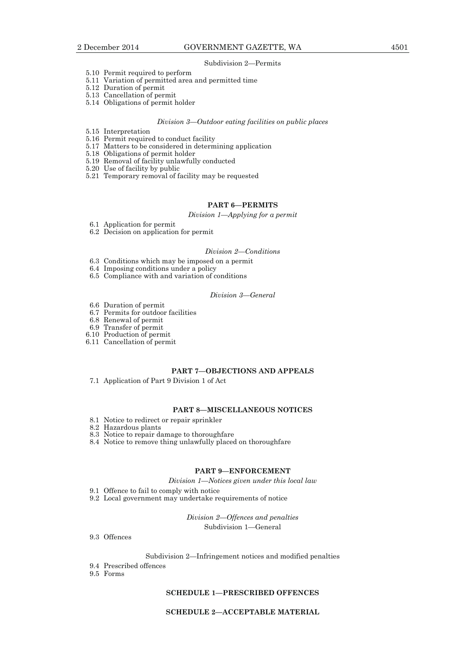#### Subdivision 2—Permits

- 5.10 Permit required to perform
- 5.11 Variation of permitted area and permitted time
- 5.12 Duration of permit
- 5.13 Cancellation of permit
- 5.14 Obligations of permit holder

#### *Division 3—Outdoor eating facilities on public places*

- 5.15 Interpretation
- 5.16 Permit required to conduct facility
	- 5.17 Matters to be considered in determining application
	- 5.18 Obligations of permit holder
	- 5.19 Removal of facility unlawfully conducted
	- 5.20 Use of facility by public
	- 5.21 Temporary removal of facility may be requested

## **PART 6—PERMITS**

## *Division 1—Applying for a permit*

- 6.1 Application for permit
- 6.2 Decision on application for permit

## *Division 2—Conditions*

- 6.3 Conditions which may be imposed on a permit
- 6.4 Imposing conditions under a policy
- 6.5 Compliance with and variation of conditions

## *Division 3—General*

- 6.6 Duration of permit
- 6.7 Permits for outdoor facilities
- 6.8 Renewal of permit
- 6.9 Transfer of permit
	- 6.10 Production of permit
	- 6.11 Cancellation of permit

## **PART 7—OBJECTIONS AND APPEALS**

7.1 Application of Part 9 Division 1 of Act

## **PART 8—MISCELLANEOUS NOTICES**

- 8.1 Notice to redirect or repair sprinkler
- 8.2 Hazardous plants
- 8.3 Notice to repair damage to thoroughfare
- 8.4 Notice to remove thing unlawfully placed on thoroughfare

## **PART 9—ENFORCEMENT**

*Division 1—Notices given under this local law* 

- 9.1 Offence to fail to comply with notice
- 9.2 Local government may undertake requirements of notice

*Division 2—Offences and penalties*  Subdivision 1—General

9.3 Offences

## Subdivision 2—Infringement notices and modified penalties

- 9.4 Prescribed offences
- 9.5 Forms

## **SCHEDULE 1—PRESCRIBED OFFENCES**

## **SCHEDULE 2—ACCEPTABLE MATERIAL**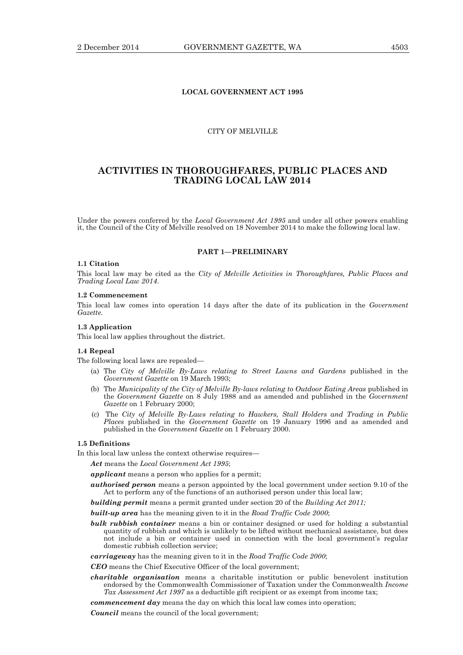## **LOCAL GOVERNMENT ACT 1995**

## CITY OF MELVILLE

## **ACTIVITIES IN THOROUGHFARES, PUBLIC PLACES AND TRADING LOCAL LAW 2014**

Under the powers conferred by the *Local Government Act 1995* and under all other powers enabling it, the Council of the City of Melville resolved on 18 November 2014 to make the following local law.

## **PART 1—PRELIMINARY**

#### **1.1 Citation**

This local law may be cited as the *City of Melville Activities in Thoroughfares, Public Places and Trading Local Law 2014*.

## **1.2 Commencement**

This local law comes into operation 14 days after the date of its publication in the *Government Gazette.*

## **1.3 Application**

This local law applies throughout the district.

#### **1.4 Repeal**

The following local laws are repealed—

- (a) The *City of Melville By-Laws relating to Street Lawns and Gardens* published in the *Government Gazette* on 19 March 1993;
	- (b) The *Municipality of the City of Melville By-laws relating to Outdoor Eating Areas* published in the *Government Gazette* on 8 July 1988 and as amended and published in the *Government Gazette* on 1 February 2000;
- (c) The *City of Melville By-Laws relating to Hawkers, Stall Holders and Trading in Public Places* published in the *Government Gazette* on 19 January 1996 and as amended and published in the *Government Gazette* on 1 February 2000.

## **1.5 Definitions**

In this local law unless the context otherwise requires—

*Act* means the *Local Government Act 1995*;

- *applicant* means a person who applies for a permit;
- *authorised person* means a person appointed by the local government under section 9.10 of the Act to perform any of the functions of an authorised person under this local law;

*building permit* means a permit granted under section 20 of the *Building Act 2011;*

*built-up area* has the meaning given to it in the *Road Traffic Code 2000*;

- *bulk rubbish container* means a bin or container designed or used for holding a substantial quantity of rubbish and which is unlikely to be lifted without mechanical assistance, but does not include a bin or container used in connection with the local government's regular domestic rubbish collection service;
- *carriageway* has the meaning given to it in the *Road Traffic Code 2000*;

*CEO* means the Chief Executive Officer of the local government;

*charitable organisation* means a charitable institution or public benevolent institution endorsed by the Commonwealth Commissioner of Taxation under the Commonwealth *Income Tax Assessment Act 1997* as a deductible gift recipient or as exempt from income tax;

*commencement day* means the day on which this local law comes into operation;

*Council* means the council of the local government;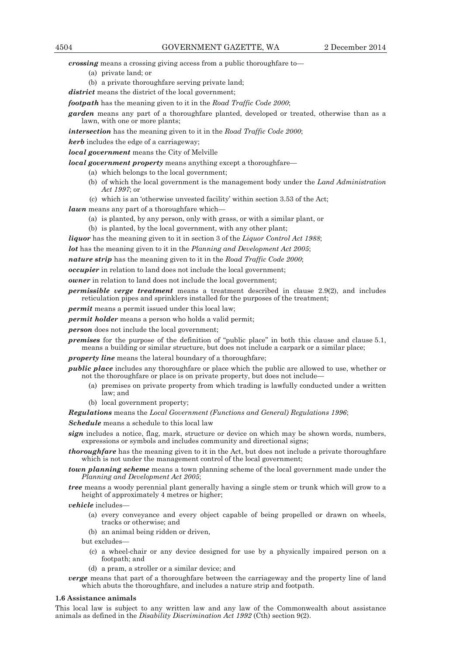*crossing* means a crossing giving access from a public thoroughfare to—

- (a) private land; or
- (b) a private thoroughfare serving private land;

*district* means the district of the local government:

*footpath* has the meaning given to it in the *Road Traffic Code 2000*;

**garden** means any part of a thoroughfare planted, developed or treated, otherwise than as a lawn, with one or more plants;

*intersection* has the meaning given to it in the *Road Traffic Code 2000*;

*kerb* includes the edge of a carriageway;

*local government* means the City of Melville

*local government property* means anything except a thoroughfare—

- (a) which belongs to the local government;
- (b) of which the local government is the management body under the *Land Administration Act 1997*; or
- (c) which is an 'otherwise unvested facility' within section 3.53 of the Act;

*lawn* means any part of a thoroughfare which-

- (a) is planted, by any person, only with grass, or with a similar plant, or
- (b) is planted, by the local government, with any other plant;
- *liquor* has the meaning given to it in section 3 of the *Liquor Control Act 1988*;

*lot* has the meaning given to it in the *Planning and Development Act 2005*;

*nature strip* has the meaning given to it in the *Road Traffic Code 2000*;

*occupier* in relation to land does not include the local government;

*owner* in relation to land does not include the local government;

*permissible verge treatment* means a treatment described in clause 2.9(2), and includes reticulation pipes and sprinklers installed for the purposes of the treatment;

*permit* means a permit issued under this local law;

*permit holder* means a person who holds a valid permit;

*person* does not include the local government;

*premises* for the purpose of the definition of "public place" in both this clause and clause 5.1, means a building or similar structure, but does not include a carpark or a similar place;

*property line* means the lateral boundary of a thoroughfare;

*public place* includes any thoroughfare or place which the public are allowed to use, whether or not the thoroughfare or place is on private property, but does not include—

- (a) premises on private property from which trading is lawfully conducted under a written law; and
- (b) local government property;

*Regulations* means the *Local Government (Functions and General) Regulations 1996*;

*Schedule* means a schedule to this local law

*sign* includes a notice, flag, mark, structure or device on which may be shown words, numbers, expressions or symbols and includes community and directional signs;

*thoroughfare* has the meaning given to it in the Act, but does not include a private thoroughfare which is not under the management control of the local government;

*town planning scheme* means a town planning scheme of the local government made under the *Planning and Development Act 2005*;

*tree* means a woody perennial plant generally having a single stem or trunk which will grow to a height of approximately 4 metres or higher;

*vehicle* includes—

- (a) every conveyance and every object capable of being propelled or drawn on wheels, tracks or otherwise; and
- (b) an animal being ridden or driven,

but excludes—

 (c) a wheel-chair or any device designed for use by a physically impaired person on a footpath; and

(d) a pram, a stroller or a similar device; and

*verge* means that part of a thoroughfare between the carriageway and the property line of land which abuts the thoroughfare, and includes a nature strip and footpath.

## **1.6 Assistance animals**

This local law is subject to any written law and any law of the Commonwealth about assistance animals as defined in the *Disability Discrimination Act 1992* (Cth) section 9(2).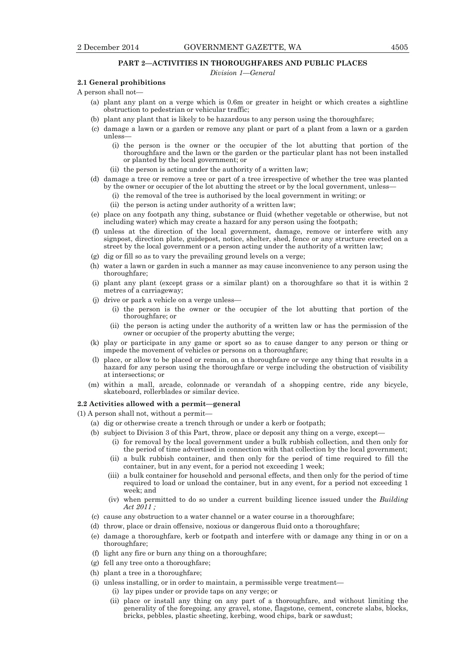## **PART 2—ACTIVITIES IN THOROUGHFARES AND PUBLIC PLACES**

*Division 1—General* 

## **2.1 General prohibitions**

- A person shall not—
	- (a) plant any plant on a verge which is 0.6m or greater in height or which creates a sightline obstruction to pedestrian or vehicular traffic;
	- (b) plant any plant that is likely to be hazardous to any person using the thoroughfare;
	- (c) damage a lawn or a garden or remove any plant or part of a plant from a lawn or a garden unless—
		- (i) the person is the owner or the occupier of the lot abutting that portion of the thoroughfare and the lawn or the garden or the particular plant has not been installed or planted by the local government; or
		- (ii) the person is acting under the authority of a written law;
	- (d) damage a tree or remove a tree or part of a tree irrespective of whether the tree was planted by the owner or occupier of the lot abutting the street or by the local government, unless—
		- (i) the removal of the tree is authorised by the local government in writing; or
		- (ii) the person is acting under authority of a written law;
	- (e) place on any footpath any thing, substance or fluid (whether vegetable or otherwise, but not including water) which may create a hazard for any person using the footpath;
	- (f) unless at the direction of the local government, damage, remove or interfere with any signpost, direction plate, guidepost, notice, shelter, shed, fence or any structure erected on a street by the local government or a person acting under the authority of a written law;
	- (g) dig or fill so as to vary the prevailing ground levels on a verge;
	- (h) water a lawn or garden in such a manner as may cause inconvenience to any person using the thoroughfare;
	- (i) plant any plant (except grass or a similar plant) on a thoroughfare so that it is within 2 metres of a carriageway;
	- (j) drive or park a vehicle on a verge unless—
		- (i) the person is the owner or the occupier of the lot abutting that portion of the thoroughfare; or
		- (ii) the person is acting under the authority of a written law or has the permission of the owner or occupier of the property abutting the verge;
	- (k) play or participate in any game or sport so as to cause danger to any person or thing or impede the movement of vehicles or persons on a thoroughfare;
	- (l) place, or allow to be placed or remain, on a thoroughfare or verge any thing that results in a hazard for any person using the thoroughfare or verge including the obstruction of visibility at intersections; or
	- (m) within a mall, arcade, colonnade or verandah of a shopping centre, ride any bicycle, skateboard, rollerblades or similar device.

## **2.2 Activities allowed with a permit—general**

(1) A person shall not, without a permit—

- (a) dig or otherwise create a trench through or under a kerb or footpath;
- (b) subject to Division 3 of this Part, throw, place or deposit any thing on a verge, except—
	- (i) for removal by the local government under a bulk rubbish collection, and then only for the period of time advertised in connection with that collection by the local government;
	- (ii) a bulk rubbish container, and then only for the period of time required to fill the container, but in any event, for a period not exceeding 1 week;
	- (iii) a bulk container for household and personal effects, and then only for the period of time required to load or unload the container, but in any event, for a period not exceeding 1 week; and
	- (iv) when permitted to do so under a current building licence issued under the *Building Act 2011 ;*
- (c) cause any obstruction to a water channel or a water course in a thoroughfare;
- (d) throw, place or drain offensive, noxious or dangerous fluid onto a thoroughfare;
- (e) damage a thoroughfare, kerb or footpath and interfere with or damage any thing in or on a thoroughfare;
- (f) light any fire or burn any thing on a thoroughfare;
- (g) fell any tree onto a thoroughfare;
- (h) plant a tree in a thoroughfare;
- (i) unless installing, or in order to maintain, a permissible verge treatment—
	- (i) lay pipes under or provide taps on any verge; or
	- (ii) place or install any thing on any part of a thoroughfare, and without limiting the generality of the foregoing, any gravel, stone, flagstone, cement, concrete slabs, blocks, bricks, pebbles, plastic sheeting, kerbing, wood chips, bark or sawdust;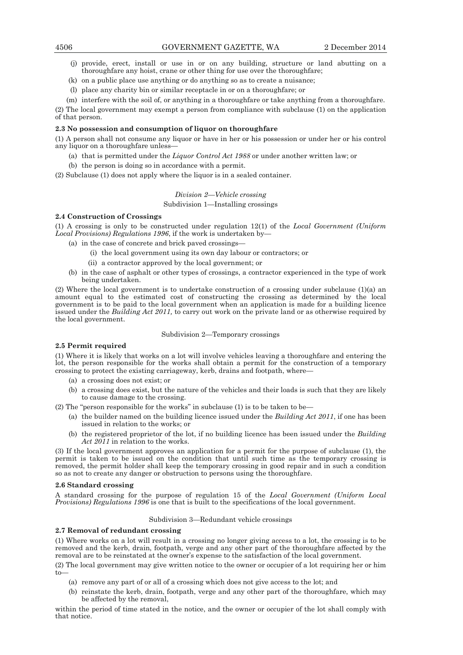- (j) provide, erect, install or use in or on any building, structure or land abutting on a thoroughfare any hoist, crane or other thing for use over the thoroughfare;
- (k) on a public place use anything or do anything so as to create a nuisance;
- (l) place any charity bin or similar receptacle in or on a thoroughfare; or
- (m) interfere with the soil of, or anything in a thoroughfare or take anything from a thoroughfare.

(2) The local government may exempt a person from compliance with subclause (1) on the application of that person.

#### **2.3 No possession and consumption of liquor on thoroughfare**

(1) A person shall not consume any liquor or have in her or his possession or under her or his control any liquor on a thoroughfare unless—

- (a) that is permitted under the *Liquor Control Act 1988* or under another written law; or
- (b) the person is doing so in accordance with a permit.

(2) Subclause (1) does not apply where the liquor is in a sealed container.

## *Division 2—Vehicle crossing*

## Subdivision 1—Installing crossings

## **2.4 Construction of Crossings**

(1) A crossing is only to be constructed under regulation 12(1) of the *Local Government (Uniform Local Provisions) Regulations 1996*, if the work is undertaken by—

- (a) in the case of concrete and brick paved crossings—
	- (i) the local government using its own day labour or contractors; or
	- (ii) a contractor approved by the local government; or
- (b) in the case of asphalt or other types of crossings, a contractor experienced in the type of work being undertaken.

(2) Where the local government is to undertake construction of a crossing under subclause (1)(a) an amount equal to the estimated cost of constructing the crossing as determined by the local government is to be paid to the local government when an application is made for a building licence issued under the *Building Act 2011,* to carry out work on the private land or as otherwise required by the local government.

## Subdivision 2—Temporary crossings

#### **2.5 Permit required**

(1) Where it is likely that works on a lot will involve vehicles leaving a thoroughfare and entering the lot, the person responsible for the works shall obtain a permit for the construction of a temporary crossing to protect the existing carriageway, kerb, drains and footpath, where—

- (a) a crossing does not exist; or
- (b) a crossing does exist, but the nature of the vehicles and their loads is such that they are likely to cause damage to the crossing.
- (2) The "person responsible for the works" in subclause  $(1)$  is to be taken to be—
	- (a) the builder named on the building licence issued under the *Building Act 2011*, if one has been issued in relation to the works; or
	- (b) the registered proprietor of the lot, if no building licence has been issued under the *Building Act 2011* in relation to the works.

(3) If the local government approves an application for a permit for the purpose of subclause (1), the permit is taken to be issued on the condition that until such time as the temporary crossing is removed, the permit holder shall keep the temporary crossing in good repair and in such a condition so as not to create any danger or obstruction to persons using the thoroughfare.

#### **2.6 Standard crossing**

A standard crossing for the purpose of regulation 15 of the *Local Government (Uniform Local Provisions) Regulations 1996* is one that is built to the specifications of the local government.

#### Subdivision 3—Redundant vehicle crossings

## **2.7 Removal of redundant crossing**

(1) Where works on a lot will result in a crossing no longer giving access to a lot, the crossing is to be removed and the kerb, drain, footpath, verge and any other part of the thoroughfare affected by the removal are to be reinstated at the owner's expense to the satisfaction of the local government.

(2) The local government may give written notice to the owner or occupier of a lot requiring her or him to—

- (a) remove any part of or all of a crossing which does not give access to the lot; and
- (b) reinstate the kerb, drain, footpath, verge and any other part of the thoroughfare, which may be affected by the removal,

within the period of time stated in the notice, and the owner or occupier of the lot shall comply with that notice.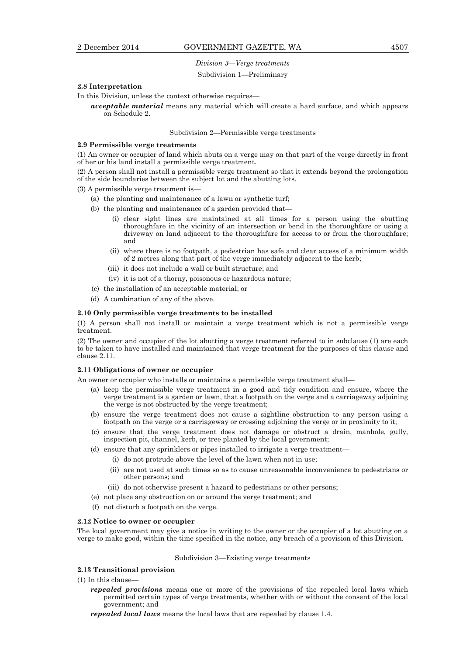## *Division 3—Verge treatments*

#### Subdivision 1—Preliminary

## **2.8 Interpretation**

In this Division, unless the context otherwise requires—

*acceptable material* means any material which will create a hard surface, and which appears on Schedule 2.

## Subdivision 2—Permissible verge treatments

#### **2.9 Permissible verge treatments**

(1) An owner or occupier of land which abuts on a verge may on that part of the verge directly in front of her or his land install a permissible verge treatment.

(2) A person shall not install a permissible verge treatment so that it extends beyond the prolongation of the side boundaries between the subject lot and the abutting lots.

(3) A permissible verge treatment is—

- (a) the planting and maintenance of a lawn or synthetic turf;
- (b) the planting and maintenance of a garden provided that—
	- (i) clear sight lines are maintained at all times for a person using the abutting thoroughfare in the vicinity of an intersection or bend in the thoroughfare or using a driveway on land adjacent to the thoroughfare for access to or from the thoroughfare; and
	- (ii) where there is no footpath, a pedestrian has safe and clear access of a minimum width of 2 metres along that part of the verge immediately adjacent to the kerb;
	- (iii) it does not include a wall or built structure; and
	- (iv) it is not of a thorny, poisonous or hazardous nature;
- (c) the installation of an acceptable material; or
- (d) A combination of any of the above.

#### **2.10 Only permissible verge treatments to be installed**

(1) A person shall not install or maintain a verge treatment which is not a permissible verge treatment.

(2) The owner and occupier of the lot abutting a verge treatment referred to in subclause (1) are each to be taken to have installed and maintained that verge treatment for the purposes of this clause and clause 2.11.

## **2.11 Obligations of owner or occupier**

An owner or occupier who installs or maintains a permissible verge treatment shall—

- (a) keep the permissible verge treatment in a good and tidy condition and ensure, where the verge treatment is a garden or lawn, that a footpath on the verge and a carriageway adjoining the verge is not obstructed by the verge treatment;
- (b) ensure the verge treatment does not cause a sightline obstruction to any person using a footpath on the verge or a carriageway or crossing adjoining the verge or in proximity to it;
- (c) ensure that the verge treatment does not damage or obstruct a drain, manhole, gully, inspection pit, channel, kerb, or tree planted by the local government;
- (d) ensure that any sprinklers or pipes installed to irrigate a verge treatment—
	- (i) do not protrude above the level of the lawn when not in use;
		- (ii) are not used at such times so as to cause unreasonable inconvenience to pedestrians or other persons; and
	- (iii) do not otherwise present a hazard to pedestrians or other persons;
- (e) not place any obstruction on or around the verge treatment; and
- (f) not disturb a footpath on the verge.

#### **2.12 Notice to owner or occupier**

The local government may give a notice in writing to the owner or the occupier of a lot abutting on a verge to make good, within the time specified in the notice, any breach of a provision of this Division.

Subdivision 3—Existing verge treatments

## **2.13 Transitional provision**

(1) In this clause—

- *repealed provisions* means one or more of the provisions of the repealed local laws which permitted certain types of verge treatments, whether with or without the consent of the local government; and
- *repealed local laws* means the local laws that are repealed by clause 1.4.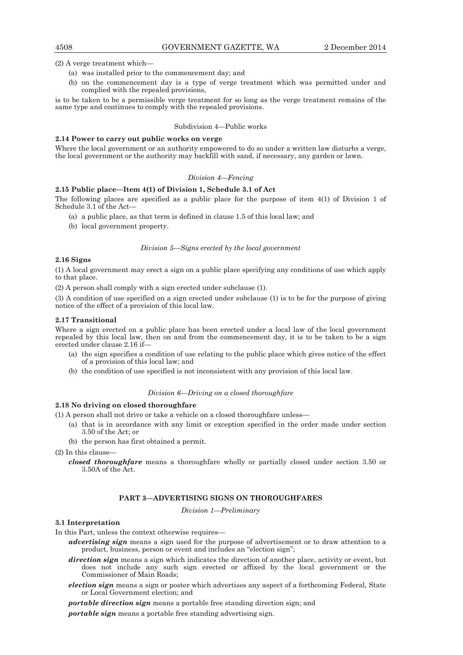(2) A verge treatment which—

- (a) was installed prior to the commencement day; and
- (b) on the commencement day is a type of verge treatment which was permitted under and complied with the repealed provisions,

is to be taken to be a permissible verge treatment for so long as the verge treatment remains of the same type and continues to comply with the repealed provisions.

## Subdivision 4—Public works

## **2.14 Power to carry out public works on verge**

Where the local government or an authority empowered to do so under a written law disturbs a verge, the local government or the authority may backfill with sand, if necessary, any garden or lawn.

## *Division 4—Fencing*

#### **2.15 Public place—Item 4(1) of Division 1, Schedule 3.1 of Act**

The following places are specified as a public place for the purpose of item 4(1) of Division 1 of Schedule 3.1 of the Act—

- (a) a public place, as that term is defined in clause 1.5 of this local law; and
- (b) local government property.

#### *Division 5—Signs erected by the local government*

## **2.16 Signs**

(1) A local government may erect a sign on a public place specifying any conditions of use which apply to that place.

(2) A person shall comply with a sign erected under subclause (1).

(3) A condition of use specified on a sign erected under subclause (1) is to be for the purpose of giving notice of the effect of a provision of this local law.

#### **2.17 Transitional**

Where a sign erected on a public place has been erected under a local law of the local government repealed by this local law, then on and from the commencement day, it is to be taken to be a sign erected under clause 2.16 if—

- (a) the sign specifies a condition of use relating to the public place which gives notice of the effect of a provision of this local law; and
- (b) the condition of use specified is not inconsistent with any provision of this local law.

#### *Division 6—Driving on a closed thoroughfare*

#### **2.18 No driving on closed thoroughfare**

(1) A person shall not drive or take a vehicle on a closed thoroughfare unless—

- (a) that is in accordance with any limit or exception specified in the order made under section 3.50 of the Act; or
- (b) the person has first obtained a permit.

(2) In this clause—

*closed thoroughfare* means a thoroughfare wholly or partially closed under section 3.50 or 3.50A of the Act.

## **PART 3—ADVERTISING SIGNS ON THOROUGHFARES**

*Division 1—Preliminary* 

## **3.1 Interpretation**

In this Part, unless the context otherwise requires—

- *advertising sign* means a sign used for the purpose of advertisement or to draw attention to a product, business, person or event and includes an "election sign";
- *direction sign* means a sign which indicates the direction of another place, activity or event, but does not include any such sign erected or affixed by the local government or the Commissioner of Main Roads;
- *election sign* means a sign or poster which advertises any aspect of a forthcoming Federal, State or Local Government election; and

*portable direction sign* means a portable free standing direction sign; and

*portable sign* means a portable free standing advertising sign.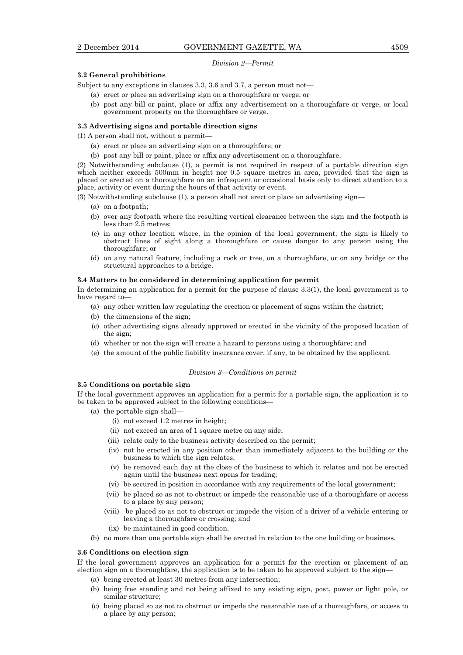#### *Division 2—Permit*

## **3.2 General prohibitions**

Subject to any exceptions in clauses 3.3, 3.6 and 3.7, a person must not—

- (a) erect or place an advertising sign on a thoroughfare or verge; or
- (b) post any bill or paint, place or affix any advertisement on a thoroughfare or verge, or local government property on the thoroughfare or verge.

#### **3.3 Advertising signs and portable direction signs**

(1) A person shall not, without a permit—

- (a) erect or place an advertising sign on a thoroughfare; or
- (b) post any bill or paint, place or affix any advertisement on a thoroughfare.

(2) Notwithstanding subclause (1), a permit is not required in respect of a portable direction sign which neither exceeds 500mm in height nor 0.5 square metres in area, provided that the sign is placed or erected on a thoroughfare on an infrequent or occasional basis only to direct attention to a place, activity or event during the hours of that activity or event.

(3) Notwithstanding subclause (1), a person shall not erect or place an advertising sign—

- (a) on a footpath;
- (b) over any footpath where the resulting vertical clearance between the sign and the footpath is less than 2.5 metres;
- (c) in any other location where, in the opinion of the local government, the sign is likely to obstruct lines of sight along a thoroughfare or cause danger to any person using the thoroughfare; or
- (d) on any natural feature, including a rock or tree, on a thoroughfare, or on any bridge or the structural approaches to a bridge.

#### **3.4 Matters to be considered in determining application for permit**

In determining an application for a permit for the purpose of clause 3.3(1), the local government is to have regard to—

- (a) any other written law regulating the erection or placement of signs within the district;
- (b) the dimensions of the sign;
- (c) other advertising signs already approved or erected in the vicinity of the proposed location of the sign;
- (d) whether or not the sign will create a hazard to persons using a thoroughfare; and
- (e) the amount of the public liability insurance cover, if any, to be obtained by the applicant.

## *Division 3—Conditions on permit*

## **3.5 Conditions on portable sign**

If the local government approves an application for a permit for a portable sign, the application is to be taken to be approved subject to the following conditions—

- (a) the portable sign shall—
	- (i) not exceed 1.2 metres in height;
	- (ii) not exceed an area of 1 square metre on any side;
	- (iii) relate only to the business activity described on the permit;
	- (iv) not be erected in any position other than immediately adjacent to the building or the business to which the sign relates;
	- (v) be removed each day at the close of the business to which it relates and not be erected again until the business next opens for trading;
	- (vi) be secured in position in accordance with any requirements of the local government;
	- (vii) be placed so as not to obstruct or impede the reasonable use of a thoroughfare or access to a place by any person;
	- (viii) be placed so as not to obstruct or impede the vision of a driver of a vehicle entering or leaving a thoroughfare or crossing; and
	- (ix) be maintained in good condition.
- (b) no more than one portable sign shall be erected in relation to the one building or business.

## **3.6 Conditions on election sign**

If the local government approves an application for a permit for the erection or placement of an election sign on a thoroughfare, the application is to be taken to be approved subject to the sign—

- (a) being erected at least 30 metres from any intersection;
- (b) being free standing and not being affixed to any existing sign, post, power or light pole, or similar structure;
- (c) being placed so as not to obstruct or impede the reasonable use of a thoroughfare, or access to a place by any person;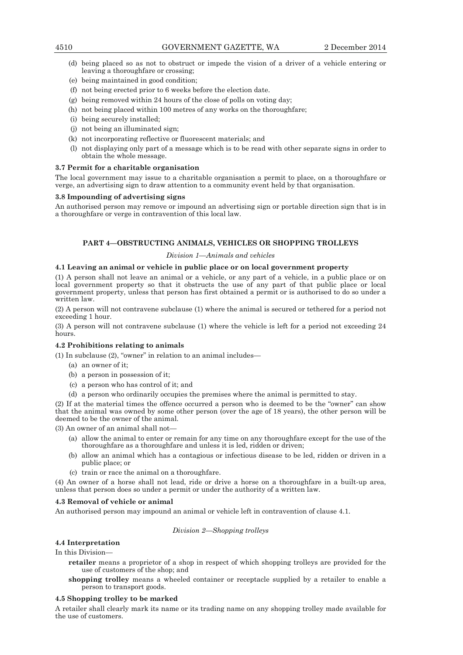- (d) being placed so as not to obstruct or impede the vision of a driver of a vehicle entering or leaving a thoroughfare or crossing;
- (e) being maintained in good condition;
- (f) not being erected prior to 6 weeks before the election date.
- (g) being removed within 24 hours of the close of polls on voting day;
- (h) not being placed within 100 metres of any works on the thoroughfare;
- (i) being securely installed;
- (j) not being an illuminated sign;
- (k) not incorporating reflective or fluorescent materials; and
- (l) not displaying only part of a message which is to be read with other separate signs in order to obtain the whole message.

## **3.7 Permit for a charitable organisation**

The local government may issue to a charitable organisation a permit to place, on a thoroughfare or verge, an advertising sign to draw attention to a community event held by that organisation.

## **3.8 Impounding of advertising signs**

An authorised person may remove or impound an advertising sign or portable direction sign that is in a thoroughfare or verge in contravention of this local law.

## **PART 4—OBSTRUCTING ANIMALS, VEHICLES OR SHOPPING TROLLEYS**

## *Division 1—Animals and vehicles*

## **4.1 Leaving an animal or vehicle in public place or on local government property**

(1) A person shall not leave an animal or a vehicle, or any part of a vehicle, in a public place or on local government property so that it obstructs the use of any part of that public place or local government property, unless that person has first obtained a permit or is authorised to do so under a written law.

(2) A person will not contravene subclause (1) where the animal is secured or tethered for a period not exceeding 1 hour.

(3) A person will not contravene subclause (1) where the vehicle is left for a period not exceeding 24 hours.

## **4.2 Prohibitions relating to animals**

(1) In subclause (2), "owner" in relation to an animal includes—

- (a) an owner of it;
- (b) a person in possession of it;
- (c) a person who has control of it; and
- (d) a person who ordinarily occupies the premises where the animal is permitted to stay.

(2) If at the material times the offence occurred a person who is deemed to be the "owner" can show that the animal was owned by some other person (over the age of 18 years), the other person will be deemed to be the owner of the animal.

(3) An owner of an animal shall not—

- (a) allow the animal to enter or remain for any time on any thoroughfare except for the use of the thoroughfare as a thoroughfare and unless it is led, ridden or driven;
- (b) allow an animal which has a contagious or infectious disease to be led, ridden or driven in a public place; or
- (c) train or race the animal on a thoroughfare.

(4) An owner of a horse shall not lead, ride or drive a horse on a thoroughfare in a built-up area, unless that person does so under a permit or under the authority of a written law.

## **4.3 Removal of vehicle or animal**

An authorised person may impound an animal or vehicle left in contravention of clause 4.1.

## *Division 2—Shopping trolleys*

## **4.4 Interpretation**

In this Division—

- **retailer** means a proprietor of a shop in respect of which shopping trolleys are provided for the use of customers of the shop; and
- **shopping trolley** means a wheeled container or receptacle supplied by a retailer to enable a person to transport goods.

## **4.5 Shopping trolley to be marked**

A retailer shall clearly mark its name or its trading name on any shopping trolley made available for the use of customers.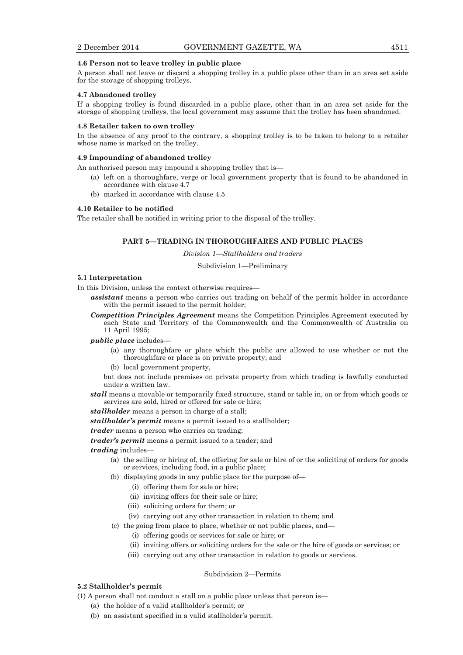## **4.6 Person not to leave trolley in public place**

A person shall not leave or discard a shopping trolley in a public place other than in an area set aside for the storage of shopping trolleys.

## **4.7 Abandoned trolley**

If a shopping trolley is found discarded in a public place, other than in an area set aside for the storage of shopping trolleys, the local government may assume that the trolley has been abandoned.

#### **4.8 Retailer taken to own trolley**

In the absence of any proof to the contrary, a shopping trolley is to be taken to belong to a retailer whose name is marked on the trolley.

## **4.9 Impounding of abandoned trolley**

An authorised person may impound a shopping trolley that is—

- (a) left on a thoroughfare, verge or local government property that is found to be abandoned in accordance with clause 4.7
- (b) marked in accordance with clause 4.5

## **4.10 Retailer to be notified**

The retailer shall be notified in writing prior to the disposal of the trolley.

## **PART 5—TRADING IN THOROUGHFARES AND PUBLIC PLACES**

*Division 1—Stallholders and traders* 

#### Subdivision 1—Preliminary

## **5.1 Interpretation**

In this Division, unless the context otherwise requires—

- *assistant* means a person who carries out trading on behalf of the permit holder in accordance with the permit issued to the permit holder;
- *Competition Principles Agreement* means the Competition Principles Agreement executed by each State and Territory of the Commonwealth and the Commonwealth of Australia on 11 April 1995;

*public place* includes—

- (a) any thoroughfare or place which the public are allowed to use whether or not the thoroughfare or place is on private property; and
- (b) local government property,

but does not include premises on private property from which trading is lawfully conducted under a written law.

*stall* means a movable or temporarily fixed structure, stand or table in, on or from which goods or services are sold, hired or offered for sale or hire;

*stallholder* means a person in charge of a stall;

*stallholder's permit* means a permit issued to a stallholder;

*trader* means a person who carries on trading;

*trader's permit* means a permit issued to a trader; and

*trading* includes—

- (a) the selling or hiring of, the offering for sale or hire of or the soliciting of orders for goods or services, including food, in a public place;
- (b) displaying goods in any public place for the purpose of—
	- (i) offering them for sale or hire;
	- (ii) inviting offers for their sale or hire;
	- (iii) soliciting orders for them; or
	- (iv) carrying out any other transaction in relation to them; and
- (c) the going from place to place, whether or not public places, and—
	- (i) offering goods or services for sale or hire; or
	- (ii) inviting offers or soliciting orders for the sale or the hire of goods or services; or
	- (iii) carrying out any other transaction in relation to goods or services.

## Subdivision 2—Permits

## **5.2 Stallholder's permit**

- (1) A person shall not conduct a stall on a public place unless that person is—
	- (a) the holder of a valid stallholder's permit; or
	- (b) an assistant specified in a valid stallholder's permit.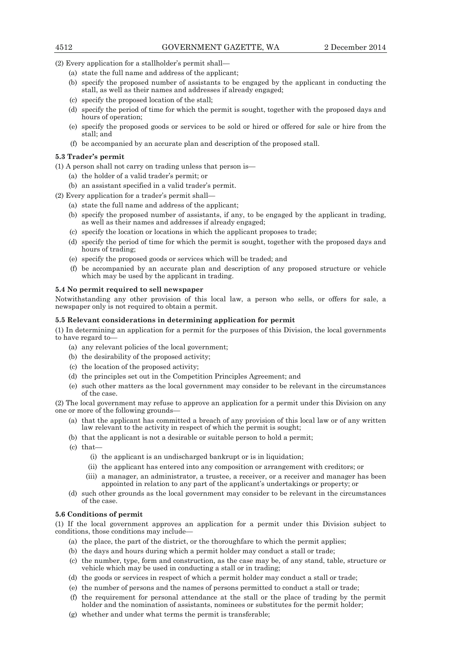(2) Every application for a stallholder's permit shall—

- (a) state the full name and address of the applicant;
- (b) specify the proposed number of assistants to be engaged by the applicant in conducting the stall, as well as their names and addresses if already engaged;
- (c) specify the proposed location of the stall;
- (d) specify the period of time for which the permit is sought, together with the proposed days and hours of operation;
- (e) specify the proposed goods or services to be sold or hired or offered for sale or hire from the stall; and
- (f) be accompanied by an accurate plan and description of the proposed stall.

## **5.3 Trader's permit**

(1) A person shall not carry on trading unless that person is—

- (a) the holder of a valid trader's permit; or
- (b) an assistant specified in a valid trader's permit.

(2) Every application for a trader's permit shall—

- (a) state the full name and address of the applicant;
- (b) specify the proposed number of assistants, if any, to be engaged by the applicant in trading, as well as their names and addresses if already engaged;
- (c) specify the location or locations in which the applicant proposes to trade;
- (d) specify the period of time for which the permit is sought, together with the proposed days and hours of trading;
- (e) specify the proposed goods or services which will be traded; and
- (f) be accompanied by an accurate plan and description of any proposed structure or vehicle which may be used by the applicant in trading.

## **5.4 No permit required to sell newspaper**

Notwithstanding any other provision of this local law, a person who sells, or offers for sale, a newspaper only is not required to obtain a permit.

## **5.5 Relevant considerations in determining application for permit**

(1) In determining an application for a permit for the purposes of this Division, the local governments to have regard to—

- (a) any relevant policies of the local government;
- (b) the desirability of the proposed activity;
- (c) the location of the proposed activity;
- (d) the principles set out in the Competition Principles Agreement; and
- (e) such other matters as the local government may consider to be relevant in the circumstances of the case.

(2) The local government may refuse to approve an application for a permit under this Division on any one or more of the following grounds—

- (a) that the applicant has committed a breach of any provision of this local law or of any written law relevant to the activity in respect of which the permit is sought;
- (b) that the applicant is not a desirable or suitable person to hold a permit;
- (c) that—
	- (i) the applicant is an undischarged bankrupt or is in liquidation;
	- (ii) the applicant has entered into any composition or arrangement with creditors; or
	- (iii) a manager, an administrator, a trustee, a receiver, or a receiver and manager has been appointed in relation to any part of the applicant's undertakings or property; or
- (d) such other grounds as the local government may consider to be relevant in the circumstances of the case.

## **5.6 Conditions of permit**

(1) If the local government approves an application for a permit under this Division subject to conditions, those conditions may include—

- (a) the place, the part of the district, or the thoroughfare to which the permit applies;
- (b) the days and hours during which a permit holder may conduct a stall or trade;
- (c) the number, type, form and construction, as the case may be, of any stand, table, structure or vehicle which may be used in conducting a stall or in trading;
- (d) the goods or services in respect of which a permit holder may conduct a stall or trade;
- (e) the number of persons and the names of persons permitted to conduct a stall or trade;
- (f) the requirement for personal attendance at the stall or the place of trading by the permit holder and the nomination of assistants, nominees or substitutes for the permit holder;
- (g) whether and under what terms the permit is transferable;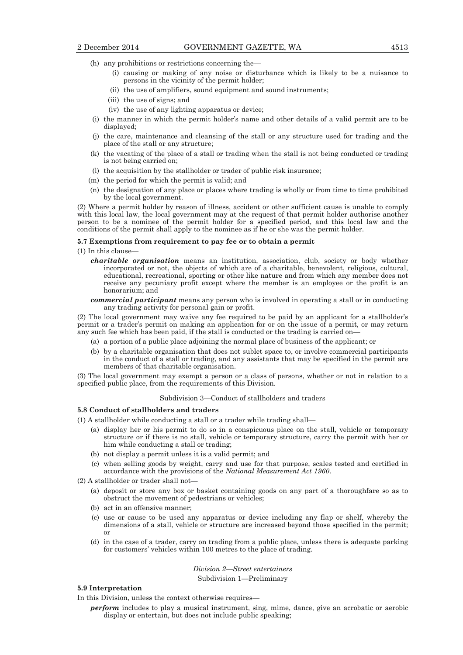- (h) any prohibitions or restrictions concerning the—
	- (i) causing or making of any noise or disturbance which is likely to be a nuisance to persons in the vicinity of the permit holder;
	- (ii) the use of amplifiers, sound equipment and sound instruments;
	- (iii) the use of signs; and
	- (iv) the use of any lighting apparatus or device;
- (i) the manner in which the permit holder's name and other details of a valid permit are to be displayed;
- (j) the care, maintenance and cleansing of the stall or any structure used for trading and the place of the stall or any structure;
- (k) the vacating of the place of a stall or trading when the stall is not being conducted or trading is not being carried on;
- (l) the acquisition by the stallholder or trader of public risk insurance;
- (m) the period for which the permit is valid; and
- (n) the designation of any place or places where trading is wholly or from time to time prohibited by the local government.

(2) Where a permit holder by reason of illness, accident or other sufficient cause is unable to comply with this local law, the local government may at the request of that permit holder authorise another person to be a nominee of the permit holder for a specified period, and this local law and the conditions of the permit shall apply to the nominee as if he or she was the permit holder.

#### **5.7 Exemptions from requirement to pay fee or to obtain a permit**

(1) In this clause—

*charitable organisation* means an institution, association, club, society or body whether incorporated or not, the objects of which are of a charitable, benevolent, religious, cultural, educational, recreational, sporting or other like nature and from which any member does not receive any pecuniary profit except where the member is an employee or the profit is an honorarium; and

*commercial participant* means any person who is involved in operating a stall or in conducting any trading activity for personal gain or profit.

(2) The local government may waive any fee required to be paid by an applicant for a stallholder's permit or a trader's permit on making an application for or on the issue of a permit, or may return any such fee which has been paid, if the stall is conducted or the trading is carried on—

- (a) a portion of a public place adjoining the normal place of business of the applicant; or
- (b) by a charitable organisation that does not sublet space to, or involve commercial participants in the conduct of a stall or trading, and any assistants that may be specified in the permit are members of that charitable organisation.

(3) The local government may exempt a person or a class of persons, whether or not in relation to a specified public place, from the requirements of this Division.

#### Subdivision 3—Conduct of stallholders and traders

#### **5.8 Conduct of stallholders and traders**

(1) A stallholder while conducting a stall or a trader while trading shall—

- (a) display her or his permit to do so in a conspicuous place on the stall, vehicle or temporary structure or if there is no stall, vehicle or temporary structure, carry the permit with her or him while conducting a stall or trading;
- (b) not display a permit unless it is a valid permit; and
- (c) when selling goods by weight, carry and use for that purpose, scales tested and certified in accordance with the provisions of the *National Measurement Act 1960*.
- (2) A stallholder or trader shall not—
	- (a) deposit or store any box or basket containing goods on any part of a thoroughfare so as to obstruct the movement of pedestrians or vehicles;
	- (b) act in an offensive manner;
	- (c) use or cause to be used any apparatus or device including any flap or shelf, whereby the dimensions of a stall, vehicle or structure are increased beyond those specified in the permit; or
	- (d) in the case of a trader, carry on trading from a public place, unless there is adequate parking for customers' vehicles within 100 metres to the place of trading.

## *Division 2—Street entertainers*

Subdivision 1—Preliminary

## **5.9 Interpretation**

In this Division, unless the context otherwise requires—

*perform* includes to play a musical instrument, sing, mime, dance, give an acrobatic or aerobic display or entertain, but does not include public speaking;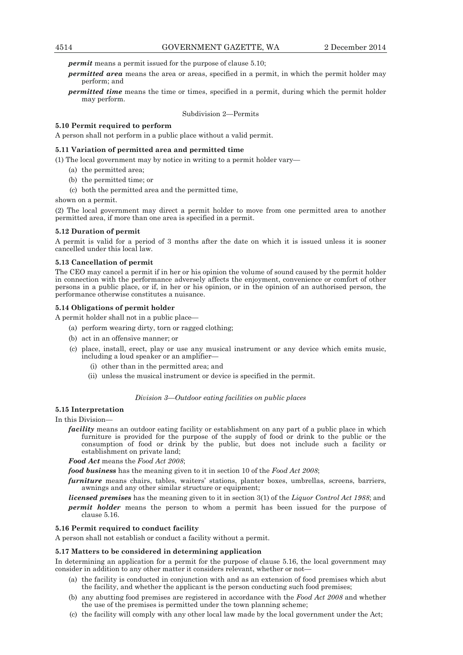*permit* means a permit issued for the purpose of clause 5.10;

- *permitted area* means the area or areas, specified in a permit, in which the permit holder may perform; and
- *permitted time* means the time or times, specified in a permit, during which the permit holder may perform.

Subdivision 2—Permits

## **5.10 Permit required to perform**

A person shall not perform in a public place without a valid permit.

## **5.11 Variation of permitted area and permitted time**

- (1) The local government may by notice in writing to a permit holder vary—
	- (a) the permitted area;
	- (b) the permitted time; or
	- (c) both the permitted area and the permitted time,

shown on a permit.

(2) The local government may direct a permit holder to move from one permitted area to another permitted area, if more than one area is specified in a permit.

## **5.12 Duration of permit**

A permit is valid for a period of 3 months after the date on which it is issued unless it is sooner cancelled under this local law.

## **5.13 Cancellation of permit**

The CEO may cancel a permit if in her or his opinion the volume of sound caused by the permit holder in connection with the performance adversely affects the enjoyment, convenience or comfort of other persons in a public place, or if, in her or his opinion, or in the opinion of an authorised person, the performance otherwise constitutes a nuisance.

#### **5.14 Obligations of permit holder**

A permit holder shall not in a public place—

- (a) perform wearing dirty, torn or ragged clothing;
- (b) act in an offensive manner; or
- (c) place, install, erect, play or use any musical instrument or any device which emits music, including a loud speaker or an amplifier—
	- (i) other than in the permitted area; and
	- (ii) unless the musical instrument or device is specified in the permit.

## *Division 3—Outdoor eating facilities on public places*

**5.15 Interpretation** 

In this Division—

*facility* means an outdoor eating facility or establishment on any part of a public place in which furniture is provided for the purpose of the supply of food or drink to the public or the consumption of food or drink by the public, but does not include such a facility or establishment on private land;

*Food Act* means the *Food Act 2008*;

*food business* has the meaning given to it in section 10 of the *Food Act 2008*;

*furniture* means chairs, tables, waiters' stations, planter boxes, umbrellas, screens, barriers, awnings and any other similar structure or equipment;

*licensed premises* has the meaning given to it in section 3(1) of the *Liquor Control Act 1988*; and

*permit holder* means the person to whom a permit has been issued for the purpose of clause 5.16.

#### **5.16 Permit required to conduct facility**

A person shall not establish or conduct a facility without a permit.

## **5.17 Matters to be considered in determining application**

In determining an application for a permit for the purpose of clause 5.16, the local government may consider in addition to any other matter it considers relevant, whether or not—

- (a) the facility is conducted in conjunction with and as an extension of food premises which abut the facility, and whether the applicant is the person conducting such food premises;
- (b) any abutting food premises are registered in accordance with the *Food Act 2008* and whether the use of the premises is permitted under the town planning scheme;
- (c) the facility will comply with any other local law made by the local government under the Act;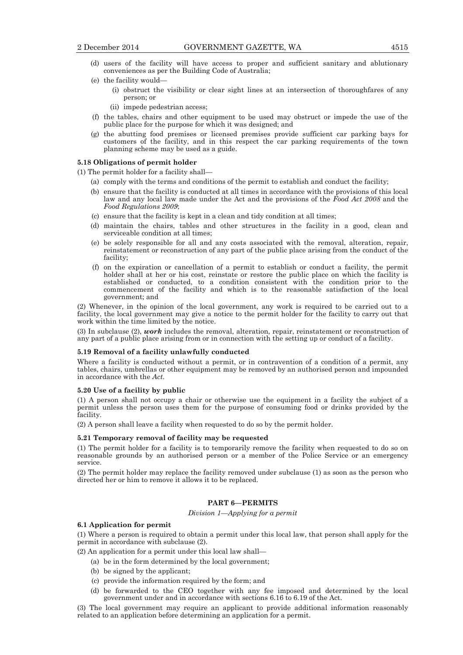- (d) users of the facility will have access to proper and sufficient sanitary and ablutionary conveniences as per the Building Code of Australia;
- (e) the facility would—
	- (i) obstruct the visibility or clear sight lines at an intersection of thoroughfares of any person; or
	- (ii) impede pedestrian access;
- (f) the tables, chairs and other equipment to be used may obstruct or impede the use of the public place for the purpose for which it was designed; and
- (g) the abutting food premises or licensed premises provide sufficient car parking bays for customers of the facility, and in this respect the car parking requirements of the town planning scheme may be used as a guide.

#### **5.18 Obligations of permit holder**

(1) The permit holder for a facility shall—

- (a) comply with the terms and conditions of the permit to establish and conduct the facility;
- (b) ensure that the facility is conducted at all times in accordance with the provisions of this local law and any local law made under the Act and the provisions of the *Food Act 2008* and the *Food Regulations 2009*;
- (c) ensure that the facility is kept in a clean and tidy condition at all times;
- (d) maintain the chairs, tables and other structures in the facility in a good, clean and serviceable condition at all times;
- (e) be solely responsible for all and any costs associated with the removal, alteration, repair, reinstatement or reconstruction of any part of the public place arising from the conduct of the facility;
- (f) on the expiration or cancellation of a permit to establish or conduct a facility, the permit holder shall at her or his cost, reinstate or restore the public place on which the facility is established or conducted, to a condition consistent with the condition prior to the commencement of the facility and which is to the reasonable satisfaction of the local government; and

(2) Whenever, in the opinion of the local government, any work is required to be carried out to a facility, the local government may give a notice to the permit holder for the facility to carry out that work within the time limited by the notice.

(3) In subclause (2), *work* includes the removal, alteration, repair, reinstatement or reconstruction of any part of a public place arising from or in connection with the setting up or conduct of a facility.

## **5.19 Removal of a facility unlawfully conducted**

Where a facility is conducted without a permit, or in contravention of a condition of a permit, any tables, chairs, umbrellas or other equipment may be removed by an authorised person and impounded in accordance with the *Act*.

#### **5.20 Use of a facility by public**

(1) A person shall not occupy a chair or otherwise use the equipment in a facility the subject of a permit unless the person uses them for the purpose of consuming food or drinks provided by the facility.

(2) A person shall leave a facility when requested to do so by the permit holder.

## **5.21 Temporary removal of facility may be requested**

(1) The permit holder for a facility is to temporarily remove the facility when requested to do so on reasonable grounds by an authorised person or a member of the Police Service or an emergency service.

(2) The permit holder may replace the facility removed under subclause (1) as soon as the person who directed her or him to remove it allows it to be replaced.

## **PART 6—PERMITS**

*Division 1—Applying for a permit* 

## **6.1 Application for permit**

(1) Where a person is required to obtain a permit under this local law, that person shall apply for the permit in accordance with subclause (2).

(2) An application for a permit under this local law shall—

- (a) be in the form determined by the local government;
- (b) be signed by the applicant;
- (c) provide the information required by the form; and
- (d) be forwarded to the CEO together with any fee imposed and determined by the local government under and in accordance with sections 6.16 to 6.19 of the Act.

(3) The local government may require an applicant to provide additional information reasonably related to an application before determining an application for a permit.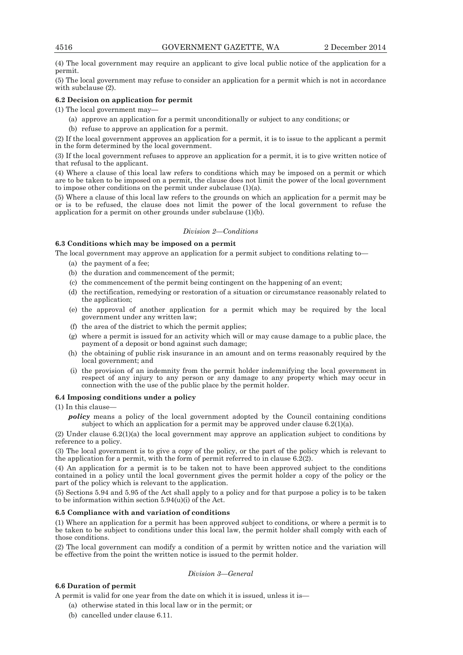(4) The local government may require an applicant to give local public notice of the application for a permit.

(5) The local government may refuse to consider an application for a permit which is not in accordance with subclause (2).

## **6.2 Decision on application for permit**

(1) The local government may—

- (a) approve an application for a permit unconditionally or subject to any conditions; or
- (b) refuse to approve an application for a permit.

(2) If the local government approves an application for a permit, it is to issue to the applicant a permit in the form determined by the local government.

(3) If the local government refuses to approve an application for a permit, it is to give written notice of that refusal to the applicant.

(4) Where a clause of this local law refers to conditions which may be imposed on a permit or which are to be taken to be imposed on a permit, the clause does not limit the power of the local government to impose other conditions on the permit under subclause (1)(a).

(5) Where a clause of this local law refers to the grounds on which an application for a permit may be or is to be refused, the clause does not limit the power of the local government to refuse the application for a permit on other grounds under subclause (1)(b).

## *Division 2—Conditions*

## **6.3 Conditions which may be imposed on a permit**

The local government may approve an application for a permit subject to conditions relating to—

- (a) the payment of a fee;
- (b) the duration and commencement of the permit;
- (c) the commencement of the permit being contingent on the happening of an event;
- (d) the rectification, remedying or restoration of a situation or circumstance reasonably related to the application;
- (e) the approval of another application for a permit which may be required by the local government under any written law;
- (f) the area of the district to which the permit applies;
- (g) where a permit is issued for an activity which will or may cause damage to a public place, the payment of a deposit or bond against such damage;
- (h) the obtaining of public risk insurance in an amount and on terms reasonably required by the local government; and
- (i) the provision of an indemnity from the permit holder indemnifying the local government in respect of any injury to any person or any damage to any property which may occur in connection with the use of the public place by the permit holder.

## **6.4 Imposing conditions under a policy**

## (1) In this clause—

*policy* means a policy of the local government adopted by the Council containing conditions subject to which an application for a permit may be approved under clause  $6.2(1)(a)$ .

(2) Under clause 6.2(1)(a) the local government may approve an application subject to conditions by reference to a policy.

(3) The local government is to give a copy of the policy, or the part of the policy which is relevant to the application for a permit, with the form of permit referred to in clause  $6.\overline{2}(2)$ .

(4) An application for a permit is to be taken not to have been approved subject to the conditions contained in a policy until the local government gives the permit holder a copy of the policy or the part of the policy which is relevant to the application.

(5) Sections 5.94 and 5.95 of the Act shall apply to a policy and for that purpose a policy is to be taken to be information within section  $5.94(u)(i)$  of the Act.

## **6.5 Compliance with and variation of conditions**

(1) Where an application for a permit has been approved subject to conditions, or where a permit is to be taken to be subject to conditions under this local law, the permit holder shall comply with each of those conditions.

(2) The local government can modify a condition of a permit by written notice and the variation will be effective from the point the written notice is issued to the permit holder.

*Division 3—General* 

## **6.6 Duration of permit**

A permit is valid for one year from the date on which it is issued, unless it is—

- (a) otherwise stated in this local law or in the permit; or
- (b) cancelled under clause 6.11.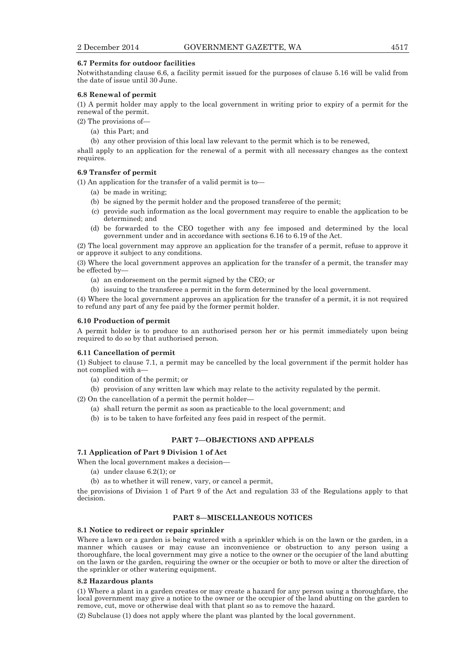## **6.7 Permits for outdoor facilities**

Notwithstanding clause 6.6, a facility permit issued for the purposes of clause 5.16 will be valid from the date of issue until 30 June.

## **6.8 Renewal of permit**

(1) A permit holder may apply to the local government in writing prior to expiry of a permit for the renewal of the permit.

- (2) The provisions of—
	- (a) this Part; and
	- (b) any other provision of this local law relevant to the permit which is to be renewed,

shall apply to an application for the renewal of a permit with all necessary changes as the context requires.

## **6.9 Transfer of permit**

(1) An application for the transfer of a valid permit is to—

- (a) be made in writing;
- (b) be signed by the permit holder and the proposed transferee of the permit;
- (c) provide such information as the local government may require to enable the application to be determined; and
- (d) be forwarded to the CEO together with any fee imposed and determined by the local government under and in accordance with sections 6.16 to 6.19 of the Act.

(2) The local government may approve an application for the transfer of a permit, refuse to approve it or approve it subject to any conditions.

(3) Where the local government approves an application for the transfer of a permit, the transfer may be effected by—

- (a) an endorsement on the permit signed by the CEO; or
- (b) issuing to the transferee a permit in the form determined by the local government.

(4) Where the local government approves an application for the transfer of a permit, it is not required to refund any part of any fee paid by the former permit holder.

#### **6.10 Production of permit**

A permit holder is to produce to an authorised person her or his permit immediately upon being required to do so by that authorised person.

## **6.11 Cancellation of permit**

(1) Subject to clause 7.1, a permit may be cancelled by the local government if the permit holder has not complied with a—

- (a) condition of the permit; or
- (b) provision of any written law which may relate to the activity regulated by the permit.

(2) On the cancellation of a permit the permit holder—

- (a) shall return the permit as soon as practicable to the local government; and
- (b) is to be taken to have forfeited any fees paid in respect of the permit.

## **PART 7—OBJECTIONS AND APPEALS**

## **7.1 Application of Part 9 Division 1 of Act**

When the local government makes a decision-

- (a) under clause 6.2(1); or
- (b) as to whether it will renew, vary, or cancel a permit,

the provisions of Division 1 of Part 9 of the Act and regulation 33 of the Regulations apply to that decision.

## **PART 8—MISCELLANEOUS NOTICES**

## **8.1 Notice to redirect or repair sprinkler**

Where a lawn or a garden is being watered with a sprinkler which is on the lawn or the garden, in a manner which causes or may cause an inconvenience or obstruction to any person using a thoroughfare, the local government may give a notice to the owner or the occupier of the land abutting on the lawn or the garden, requiring the owner or the occupier or both to move or alter the direction of the sprinkler or other watering equipment.

#### **8.2 Hazardous plants**

(1) Where a plant in a garden creates or may create a hazard for any person using a thoroughfare, the local government may give a notice to the owner or the occupier of the land abutting on the garden to remove, cut, move or otherwise deal with that plant so as to remove the hazard.

(2) Subclause (1) does not apply where the plant was planted by the local government.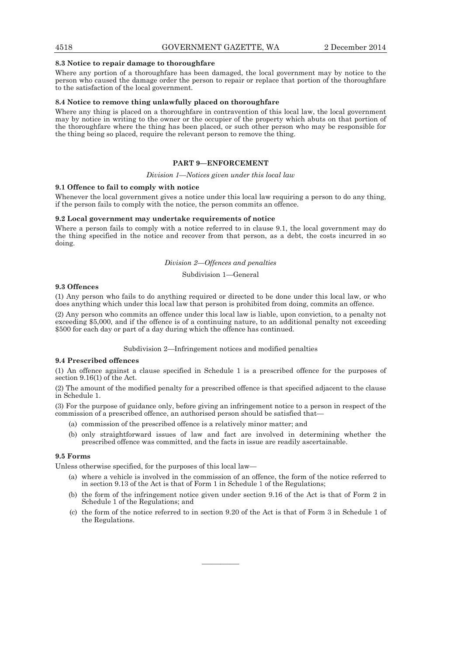#### **8.3 Notice to repair damage to thoroughfare**

Where any portion of a thoroughfare has been damaged, the local government may by notice to the person who caused the damage order the person to repair or replace that portion of the thoroughfare to the satisfaction of the local government.

#### **8.4 Notice to remove thing unlawfully placed on thoroughfare**

Where any thing is placed on a thoroughfare in contravention of this local law, the local government may by notice in writing to the owner or the occupier of the property which abuts on that portion of the thoroughfare where the thing has been placed, or such other person who may be responsible for the thing being so placed, require the relevant person to remove the thing.

## **PART 9—ENFORCEMENT**

#### *Division 1—Notices given under this local law*

#### **9.1 Offence to fail to comply with notice**

Whenever the local government gives a notice under this local law requiring a person to do any thing, if the person fails to comply with the notice, the person commits an offence.

## **9.2 Local government may undertake requirements of notice**

Where a person fails to comply with a notice referred to in clause 9.1, the local government may do the thing specified in the notice and recover from that person, as a debt, the costs incurred in so doing.

## *Division 2—Offences and penalties*

#### Subdivision 1—General

## **9.3 Offences**

(1) Any person who fails to do anything required or directed to be done under this local law, or who does anything which under this local law that person is prohibited from doing, commits an offence.

(2) Any person who commits an offence under this local law is liable, upon conviction, to a penalty not exceeding \$5,000, and if the offence is of a continuing nature, to an additional penalty not exceeding \$500 for each day or part of a day during which the offence has continued.

#### Subdivision 2—Infringement notices and modified penalties

## **9.4 Prescribed offences**

(1) An offence against a clause specified in Schedule 1 is a prescribed offence for the purposes of section 9.16(1) of the Act.

(2) The amount of the modified penalty for a prescribed offence is that specified adjacent to the clause in Schedule 1.

(3) For the purpose of guidance only, before giving an infringement notice to a person in respect of the commission of a prescribed offence, an authorised person should be satisfied that—

- (a) commission of the prescribed offence is a relatively minor matter; and
- (b) only straightforward issues of law and fact are involved in determining whether the prescribed offence was committed, and the facts in issue are readily ascertainable.

## **9.5 Forms**

Unless otherwise specified, for the purposes of this local law—

- (a) where a vehicle is involved in the commission of an offence, the form of the notice referred to in section 9.13 of the Act is that of Form 1 in Schedule 1 of the Regulations;
- (b) the form of the infringement notice given under section 9.16 of the Act is that of Form 2 in Schedule 1 of the Regulations; and
- (c) the form of the notice referred to in section 9.20 of the Act is that of Form 3 in Schedule 1 of the Regulations.

————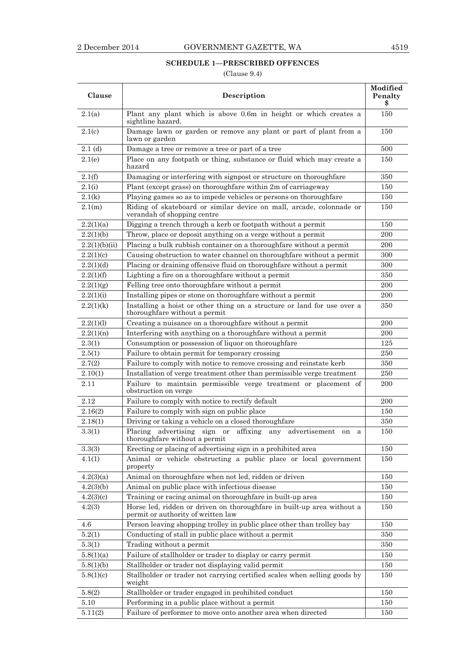## **SCHEDULE 1—PRESCRIBED OFFENCES**

(Clause 9.4)

| Clause        | Description                                                                                                  | Modified<br>Penalty<br>\$ |
|---------------|--------------------------------------------------------------------------------------------------------------|---------------------------|
| 2.1(a)        | Plant any plant which is above 0.6m in height or which creates a<br>sightline hazard.                        | 150                       |
| 2.1(c)        | Damage lawn or garden or remove any plant or part of plant from a<br>lawn or garden                          | 150                       |
| 2.1(d)        | Damage a tree or remove a tree or part of a tree                                                             | 500                       |
| 2.1(e)        | Place on any footpath or thing, substance or fluid which may create a<br>hazard                              | 150                       |
| 2.1(f)        | Damaging or interfering with signpost or structure on thoroughfare                                           | 350                       |
| 2.1(i)        | Plant (except grass) on thoroughfare within 2m of carriageway                                                | 150                       |
| 2.1(k)        | Playing games so as to impede vehicles or persons on thoroughfare                                            | 150                       |
| 2.1(m)        | Riding of skateboard or similar device on mall, arcade, colonnade or<br>verandah of shopping centre          | 150                       |
| 2.2(1)(a)     | Digging a trench through a kerb or footpath without a permit                                                 | 150                       |
| 2.2(1)(b)     | Throw, place or deposit anything on a verge without a permit                                                 | 200                       |
| 2.2(1)(b)(ii) | Placing a bulk rubbish container on a thoroughfare without a permit                                          | 200                       |
| 2.2(1)(c)     | Causing obstruction to water channel on thoroughfare without a permit                                        | 300                       |
| 2.2(1)(d)     | Placing or draining offensive fluid on thoroughfare without a permit                                         | 300                       |
| 2.2(1)(f)     | Lighting a fire on a thoroughfare without a permit                                                           | 350                       |
| 2.2(1)(g)     | Felling tree onto thoroughfare without a permit                                                              | 200                       |
| 2.2(1)(i)     | Installing pipes or stone on thoroughfare without a permit                                                   | 200                       |
| 2.2(1)(k)     | Installing a hoist or other thing on a structure or land for use over a<br>thoroughfare without a permit     | 350                       |
| 2.2(1)(1)     | Creating a nuisance on a thoroughfare without a permit                                                       | 200                       |
| 2.2(1)(n)     | Interfering with anything on a thoroughfare without a permit                                                 | 200                       |
| 2.3(1)        | Consumption or possession of liquor on thoroughfare                                                          | 125                       |
| 2.5(1)        | Failure to obtain permit for temporary crossing                                                              | 250                       |
| 2.7(2)        | Failure to comply with notice to remove crossing and reinstate kerb                                          | 350                       |
| 2.10(1)       | Installation of verge treatment other than permissible verge treatment                                       | 250                       |
| $2.11\,$      | Failure to maintain permissible verge treatment or placement of<br>obstruction on verge                      | 200                       |
| 2.12          | Failure to comply with notice to rectify default                                                             | 200                       |
| 2.16(2)       | Failure to comply with sign on public place                                                                  | 150                       |
| 2.18(1)       | Driving or taking a vehicle on a closed thoroughfare                                                         | 350                       |
| 3.3(1)        | Placing advertising sign or affixing any advertisement on a<br>thoroughfare without a permit                 | 150                       |
| 3.3(3)        | Erecting or placing of advertising sign in a prohibited area                                                 | 150                       |
| 4.1(1)        | Animal or vehicle obstructing a public place or local government<br>property                                 | 150                       |
| 4.2(3)(a)     | Animal on thoroughfare when not led, ridden or driven                                                        | 150                       |
| 4.2(3)(b)     | Animal on public place with infectious disease                                                               | 150                       |
| 4.2(3)(c)     | Training or racing animal on thoroughfare in built-up area                                                   | 150                       |
| 4.2(3)        | Horse led, ridden or driven on thoroughfare in built-up area without a<br>permit or authority of written law | 150                       |
| $4.6\,$       | Person leaving shopping trolley in public place other than trolley bay                                       | 150                       |
| 5.2(1)        | Conducting of stall in public place without a permit                                                         | 350                       |
| 5.3(1)        | Trading without a permit                                                                                     | 350                       |
| 5.8(1)(a)     | Failure of stallholder or trader to display or carry permit                                                  | 150                       |
| 5.8(1)(b)     | Stallholder or trader not displaying valid permit                                                            | 150                       |
| 5.8(1)(c)     | Stallholder or trader not carrying certified scales when selling goods by<br>weight                          | 150                       |
| 5.8(2)        | Stallholder or trader engaged in prohibited conduct                                                          | 150                       |
| 5.10          | Performing in a public place without a permit                                                                | 150                       |
| 5.11(2)       | Failure of performer to move onto another area when directed                                                 | 150                       |